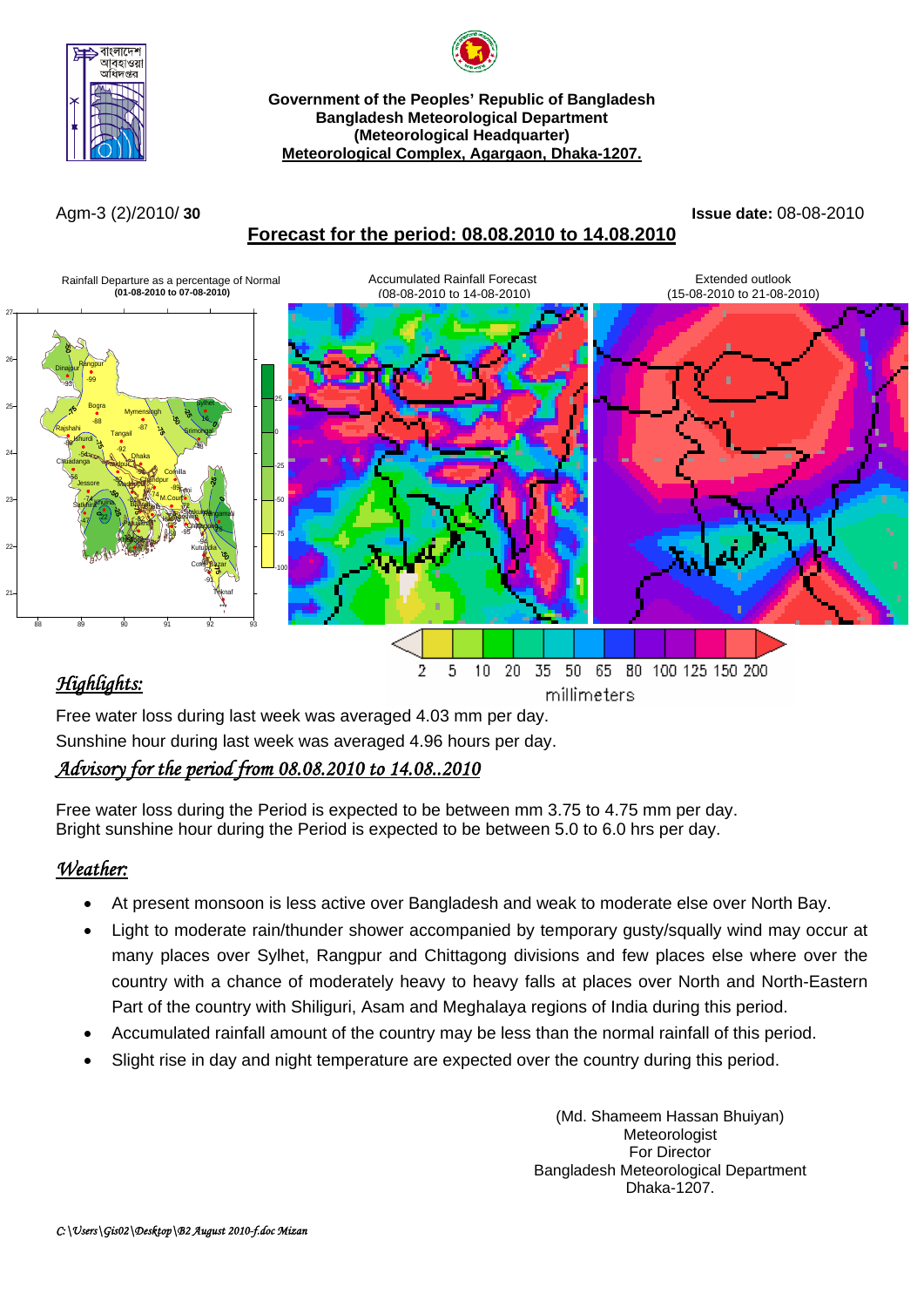



#### **Government of the Peoples' Republic of Bangladesh Bangladesh Meteorological Department (Meteorological Headquarter) Meteorological Complex, Agargaon, Dhaka-1207.**

## **Forecast for the period: 08.08.2010 to 14.08.2010**

Agm-3 (2)/2010/ **30 Issue date:** 08-08-2010



Free water loss during last week was averaged 4.03 mm per day. Sunshine hour during last week was averaged 4.96 hours per day.

# *Advisory for the period from 08.08.2010 to 14.08..2010*

Free water loss during the Period is expected to be between mm 3.75 to 4.75 mm per day. Bright sunshine hour during the Period is expected to be between 5.0 to 6.0 hrs per day.

# *Weather:*

- At present monsoon is less active over Bangladesh and weak to moderate else over North Bay.
- Light to moderate rain/thunder shower accompanied by temporary gusty/squally wind may occur at many places over Sylhet, Rangpur and Chittagong divisions and few places else where over the country with a chance of moderately heavy to heavy falls at places over North and North-Eastern Part of the country with Shiliguri, Asam and Meghalaya regions of India during this period.
- Accumulated rainfall amount of the country may be less than the normal rainfall of this period.
- Slight rise in day and night temperature are expected over the country during this period.

(Md. Shameem Hassan Bhuiyan) Meteorologist For Director Bangladesh Meteorological Department Dhaka-1207.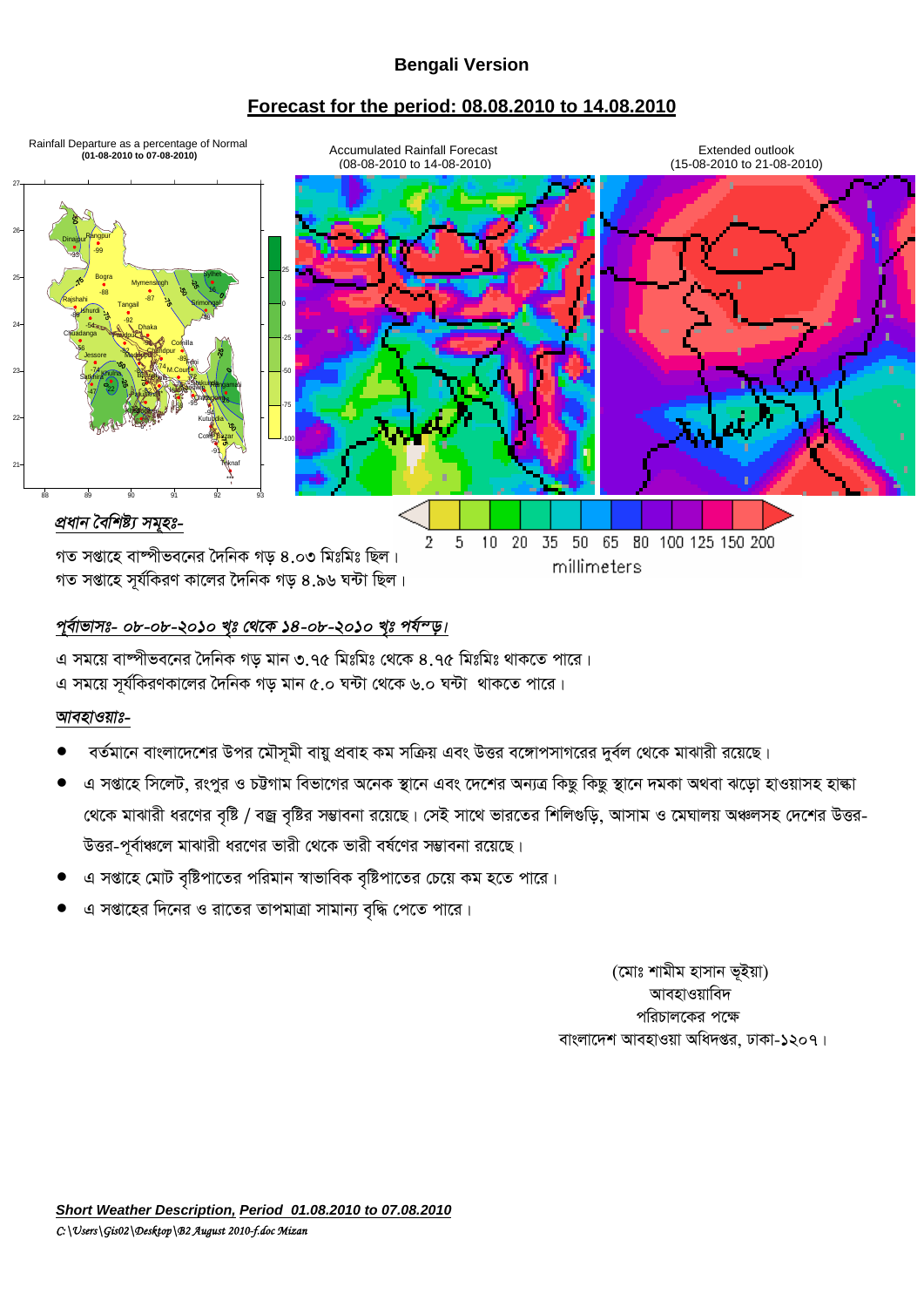### **Bengali Version**

### **Forecast for the period: 08.08.2010 to 14.08.2010**



### পূৰ্বাভাসঃ- ০৮-০৮-২০১০ খৃঃ থেকে ১৪*-০৮-২০১০ খৃঃ পৰ্যম্*ড।

এ সময়ে বাম্পীভবনের দৈনিক গড় মান ৩.৭৫ মিঃমিঃ থেকে ৪.৭৫ মিঃমিঃ থাকতে পারে। এ সময়ে সূর্যকিরণকালের দৈনিক গড় মান ৫.০ ঘন্টা থেকে ৬.০ ঘন্টা থাকতে পারে।

#### *আবহাওয়াঃ-*

- বর্তমানে বাংলাদেশের উপর মৌসমী বায়ু প্রবাহ কম সক্রিয় এবং উত্তর বঙ্গোপসাগরের দুর্বল থেকে মাঝারী রয়েছে।
- এ সপ্তাহে সিলেট, রংপুর ও চট্টগাম বিভাগের অনেক স্থানে এবং দেশের অন্যত্র কিছু কিছু স্থানে দমকা অথবা ঝড়ো হাওয়াসহ হাল্কা খেকে মাঝারী ধরণের বৃষ্টি / বজ্র বৃষ্টির সম্ভাবনা রয়েছে। সেই সাথে ভারতের শিলিগুড়ি, আসাম ও মেঘালয় অঞ্চলসহ দেশের উত্তর-উত্তর-পূর্বাঞ্চলে মাঝারী ধরণের ভারী থেকে ভারী বর্ষণের সম্ভাবনা রয়েছে।
- এ সপ্তাহে মোট বৃষ্টিপাতের পরিমান স্বাভাবিক বৃষ্টিপাতের চেয়ে কম হতে পারে।
- এ সপ্তাহের দিনের ও রাতের তাপমাত্রা সামান্য বৃদ্ধি পেতে পারে।

(মোঃ শামীম হাসান ভূইয়া) আবহাওয়াবিদ পরিচালকের পক্ষে বাংলাদেশ আবহাওয়া অধিদপ্তর, ঢাকা-১২০৭।